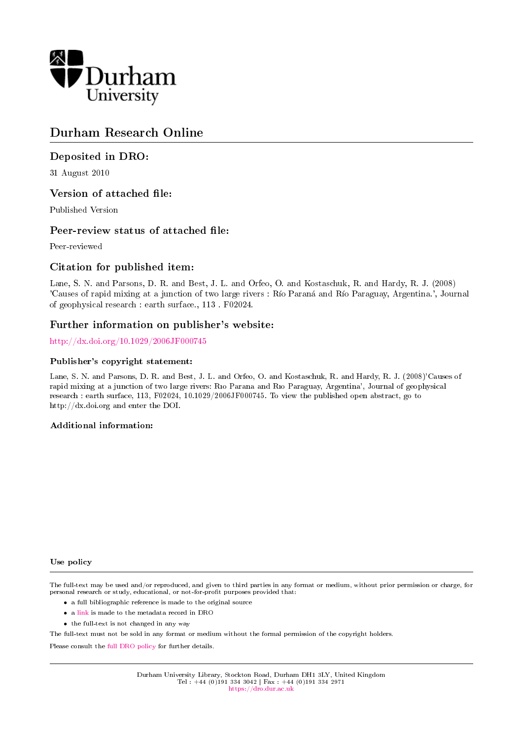

# Durham Research Online

# Deposited in DRO:

31 August 2010

# Version of attached file:

Published Version

# Peer-review status of attached file:

Peer-reviewed

# Citation for published item:

Lane, S. N. and Parsons, D. R. and Best, J. L. and Orfeo, O. and Kostaschuk, R. and Hardy, R. J. (2008) 'Causes of rapid mixing at a junction of two large rivers : Río Paraná and Río Paraguay, Argentina.', Journal of geophysical research : earth surface., 113 . F02024.

# Further information on publisher's website:

<http://dx.doi.org/10.1029/2006JF000745>

# Publisher's copyright statement:

Lane, S. N. and Parsons, D. R. and Best, J. L. and Orfeo, O. and Kostaschuk, R. and Hardy, R. J. (2008)'Causes of rapid mixing at a junction of two large rivers: Ro Parana and Ro Paraguay, Argentina', Journal of geophysical research : earth surface, 113, F02024, 10.1029/2006JF000745. To view the published open abstract, go to http://dx.doi.org and enter the DOI.

# Additional information:

## Use policy

The full-text may be used and/or reproduced, and given to third parties in any format or medium, without prior permission or charge, for personal research or study, educational, or not-for-profit purposes provided that:

- a full bibliographic reference is made to the original source
- a [link](http://dro.dur.ac.uk/7332/) is made to the metadata record in DRO
- the full-text is not changed in any way

The full-text must not be sold in any format or medium without the formal permission of the copyright holders.

Please consult the [full DRO policy](https://dro.dur.ac.uk/policies/usepolicy.pdf) for further details.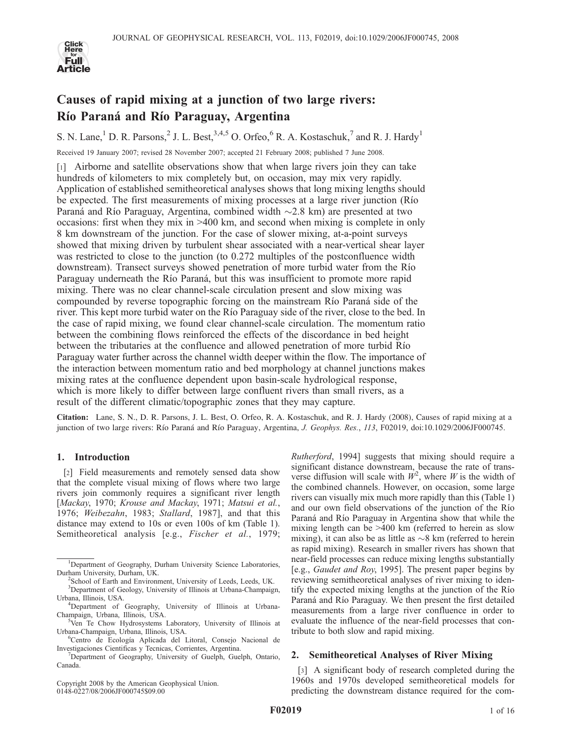

# Causes of rapid mixing at a junction of two large rivers: Río Paraná and Río Paraguay, Argentina

S. N. Lane,<sup>1</sup> D. R. Parsons,<sup>2</sup> J. L. Best,<sup>3,4,5</sup> O. Orfeo,<sup>6</sup> R. A. Kostaschuk,<sup>7</sup> and R. J. Hardy<sup>1</sup>

Received 19 January 2007; revised 28 November 2007; accepted 21 February 2008; published 7 June 2008.

[1] Airborne and satellite observations show that when large rivers join they can take hundreds of kilometers to mix completely but, on occasion, may mix very rapidly. Application of established semitheoretical analyses shows that long mixing lengths should be expected. The first measurements of mixing processes at a large river junction (Río Paraná and Río Paraguay, Argentina, combined width  $\sim$  2.8 km) are presented at two occasions: first when they mix in >400 km, and second when mixing is complete in only 8 km downstream of the junction. For the case of slower mixing, at-a-point surveys showed that mixing driven by turbulent shear associated with a near-vertical shear layer was restricted to close to the junction (to 0.272 multiples of the postconfluence width downstream). Transect surveys showed penetration of more turbid water from the Río Paraguay underneath the Río Paraná, but this was insufficient to promote more rapid mixing. There was no clear channel-scale circulation present and slow mixing was compounded by reverse topographic forcing on the mainstream Río Paraná side of the river. This kept more turbid water on the Río Paraguay side of the river, close to the bed. In the case of rapid mixing, we found clear channel-scale circulation. The momentum ratio between the combining flows reinforced the effects of the discordance in bed height between the tributaries at the confluence and allowed penetration of more turbid Río Paraguay water further across the channel width deeper within the flow. The importance of the interaction between momentum ratio and bed morphology at channel junctions makes mixing rates at the confluence dependent upon basin-scale hydrological response, which is more likely to differ between large confluent rivers than small rivers, as a result of the different climatic/topographic zones that they may capture.

Citation: Lane, S. N., D. R. Parsons, J. L. Best, O. Orfeo, R. A. Kostaschuk, and R. J. Hardy (2008), Causes of rapid mixing at a junction of two large rivers: Río Paraná and Río Paraguay, Argentina, J. Geophys. Res., 113, F02019, doi:10.1029/2006JF000745.

## 1. Introduction

[2] Field measurements and remotely sensed data show that the complete visual mixing of flows where two large rivers join commonly requires a significant river length [Mackay, 1970; Krouse and Mackay, 1971; Matsui et al., 1976; Weibezahn, 1983; Stallard, 1987], and that this distance may extend to 10s or even 100s of km (Table 1). Semitheoretical analysis [e.g., Fischer et al., 1979;

Copyright 2008 by the American Geophysical Union. 0148-0227/08/2006JF000745\$09.00

Rutherford, 1994] suggests that mixing should require a significant distance downstream, because the rate of transverse diffusion will scale with  $\hat{W}^2$ , where W is the width of the combined channels. However, on occasion, some large rivers can visually mix much more rapidly than this (Table 1) and our own field observations of the junction of the Río Paraná and Río Paraguay in Argentina show that while the mixing length can be >400 km (referred to herein as slow mixing), it can also be as little as  $\sim$ 8 km (referred to herein as rapid mixing). Research in smaller rivers has shown that near-field processes can reduce mixing lengths substantially [e.g., Gaudet and Roy, 1995]. The present paper begins by reviewing semitheoretical analyses of river mixing to identify the expected mixing lengths at the junction of the Río Paraná and Río Paraguay. We then present the first detailed measurements from a large river confluence in order to evaluate the influence of the near-field processes that contribute to both slow and rapid mixing.

## 2. Semitheoretical Analyses of River Mixing

[3] A significant body of research completed during the 1960s and 1970s developed semitheoretical models for predicting the downstream distance required for the com-

<sup>&</sup>lt;sup>1</sup>Department of Geography, Durham University Science Laboratories, Durham University, Durham, UK. <sup>2</sup>

<sup>&</sup>lt;sup>2</sup>School of Earth and Environment, University of Leeds, Leeds, UK.

<sup>&</sup>lt;sup>3</sup>Department of Geology, University of Illinois at Urbana-Champaign, Urbana, Illinois, USA. <sup>4</sup>

<sup>&</sup>lt;sup>4</sup>Department of Geography, University of Illinois at Urbana-Champaign, Urbana, Illinois, USA.

<sup>&</sup>lt;sup>5</sup>Ven Te Chow Hydrosystems Laboratory, University of Illinois at Urbana-Champaign, Urbana, Illinois, USA. <sup>6</sup>

<sup>&</sup>lt;sup>6</sup>Centro de Ecología Aplicada del Litoral, Consejo Nacional de Investigaciones Cientificas y Tecnicas, Corrientes, Argentina. <sup>7</sup>

Department of Geography, University of Guelph, Guelph, Ontario, Canada.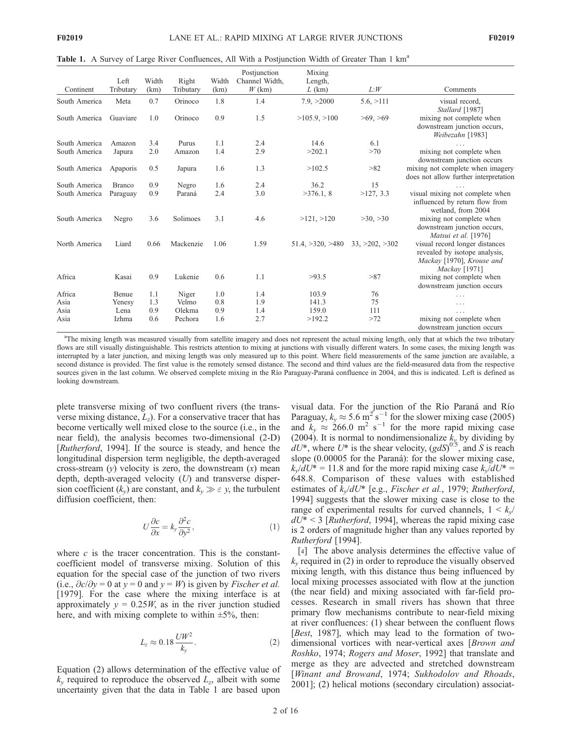|               |               |       |           |       | Postjunction   | Mixing            |                |                                                                                                               |
|---------------|---------------|-------|-----------|-------|----------------|-------------------|----------------|---------------------------------------------------------------------------------------------------------------|
|               | Left          | Width | Right     | Width | Channel Width, | Length,           |                |                                                                                                               |
| Continent     | Tributary     | (km)  | Tributary | (km)  | $W$ (km)       | $L$ (km)          | L:W            | Comments                                                                                                      |
| South America | Meta          | 0.7   | Orinoco   | 1.8   | 1.4            | 7.9, >2000        | 5.6, >111      | visual record,<br>Stallard [1987]                                                                             |
| South America | Guaviare      | 1.0   | Orinoco   | 0.9   | 1.5            | $>105.9$ , $>100$ | >69, >69       | mixing not complete when<br>downstream junction occurs,<br>Weibezahn [1983]                                   |
| South America | Amazon        | 3.4   | Purus     | 1.1   | 2.4            | 14.6              | 6.1            |                                                                                                               |
| South America | Japura        | 2.0   | Amazon    | 1.4   | 2.9            | >202.1            | >70            | mixing not complete when<br>downstream junction occurs                                                        |
| South America | Apaporis      | 0.5   | Japura    | 1.6   | 1.3            | >102.5            | >82            | mixing not complete when imagery<br>does not allow further interpretation                                     |
| South America | <b>Branco</b> | 0.9   | Negro     | 1.6   | 2.4            | 36.2              | 15             |                                                                                                               |
| South America | Paraguay      | 0.9   | Paraná    | 2.4   | 3.0            | >376.1, 8         | >127, 3.3      | visual mixing not complete when<br>influenced by return flow from<br>wetland, from 2004                       |
| South America | Negro         | 3.6   | Solimoes  | 3.1   | 4.6            | >121, >120        | >30, >30       | mixing not complete when<br>downstream junction occurs,<br>Matsui et al. [1976]                               |
| North America | Liard         | 0.66  | Mackenzie | 1.06  | 1.59           | 51.4, >320, >480  | 33, >202, >302 | visual record longer distances<br>revealed by isotope analysis,<br>Mackay [1970], Krouse and<br>Mackay [1971] |
| Africa        | Kasai         | 0.9   | Lukenie   | 0.6   | 1.1            | >93.5             | >87            | mixing not complete when<br>downstream junction occurs                                                        |
| Africa        | Benue         | 1.1   | Niger     | 1.0   | 1.4            | 103.9             | 76             | .                                                                                                             |
| Asia          | Yenesy        | 1.3   | Velmo     | 0.8   | 1.9            | 141.3             | 75             | .                                                                                                             |
| Asia          | Lena          | 0.9   | Olekma    | 0.9   | 1.4            | 159.0             | 111            |                                                                                                               |
| Asia          | Izhma         | 0.6   | Pechora   | 1.6   | 2.7            | >192.2            | >72            | mixing not complete when<br>downstream junction occurs                                                        |

Table 1. A Survey of Large River Confluences, All With a Postjunction Width of Greater Than 1 km<sup>a</sup>

<sup>a</sup>The mixing length was measured visually from satellite imagery and does not represent the actual mixing length, only that at which the two tributary flows are still visually distinguishable. This restricts attention to mixing at junctions with visually different waters. In some cases, the mixing length was interrupted by a later junction, and mixing length was only measured up to this point. Where field measurements of the same junction are available, a second distance is provided. The first value is the remotely sensed distance. The second and third values are the field-measured data from the respective sources given in the last column. We observed complete mixing in the Río Paraguay-Paraná confluence in 2004, and this is indicated. Left is defined as looking downstream.

plete transverse mixing of two confluent rivers (the transverse mixing distance,  $L_z$ ). For a conservative tracer that has become vertically well mixed close to the source (i.e., in the near field), the analysis becomes two-dimensional (2-D) [*Rutherford*, 1994]. If the source is steady, and hence the longitudinal dispersion term negligible, the depth-averaged cross-stream  $(y)$  velocity is zero, the downstream  $(x)$  mean depth, depth-averaged velocity  $(U)$  and transverse dispersion coefficient  $(k_y)$  are constant, and  $k_y \gg \varepsilon$  y, the turbulent diffusion coefficient, then:

$$
U\frac{\partial c}{\partial x} = k_y \frac{\partial^2 c}{\partial y^2},\tag{1}
$$

where  $c$  is the tracer concentration. This is the constantcoefficient model of transverse mixing. Solution of this equation for the special case of the junction of two rivers (i.e.,  $\partial c/\partial y = 0$  at  $y = 0$  and  $y = W$ ) is given by *Fischer et al.* [1979]. For the case where the mixing interface is at approximately  $y = 0.25W$ , as in the river junction studied here, and with mixing complete to within  $\pm 5\%$ , then:

$$
L_z \approx 0.18 \frac{UW^2}{k_y}.
$$
 (2)

Equation (2) allows determination of the effective value of  $k_v$  required to reproduce the observed  $L_z$ , albeit with some uncertainty given that the data in Table 1 are based upon

visual data. For the junction of the Río Paraná and Río Paraguay,  $k_y \approx 5.6 \text{ m}^2 \text{s}^{-1}$  for the slower mixing case (2005) and  $k_y \approx 266.0$  m<sup>2</sup> s<sup>-1</sup> for the more rapid mixing case (2004). It is normal to nondimensionalize  $k_y$  by dividing by  $dU^*$ , where  $U^*$  is the shear velocity,  $(gdS)^{0.5}$ , and S is reach slope (0.00005 for the Paraná): for the slower mixing case,  $k_v/dU^* = 11.8$  and for the more rapid mixing case  $k_v/dU^* =$ 648.8. Comparison of these values with established estimates of  $k_v/dU^*$  [e.g., Fischer et al., 1979; Rutherford, 1994] suggests that the slower mixing case is close to the range of experimental results for curved channels,  $1 \leq k_{\nu}$  $dU^*$  < 3 [*Rutherford*, 1994], whereas the rapid mixing case is 2 orders of magnitude higher than any values reported by Rutherford [1994].

[4] The above analysis determines the effective value of  $k<sub>v</sub>$  required in (2) in order to reproduce the visually observed mixing length, with this distance thus being influenced by local mixing processes associated with flow at the junction (the near field) and mixing associated with far-field processes. Research in small rivers has shown that three primary flow mechanisms contribute to near-field mixing at river confluences: (1) shear between the confluent flows [Best, 1987], which may lead to the formation of twodimensional vortices with near-vertical axes [Brown and Roshko, 1974; Rogers and Moser, 1992] that translate and merge as they are advected and stretched downstream [Winant and Browand, 1974; Sukhodolov and Rhoads, 2001]; (2) helical motions (secondary circulation) associat-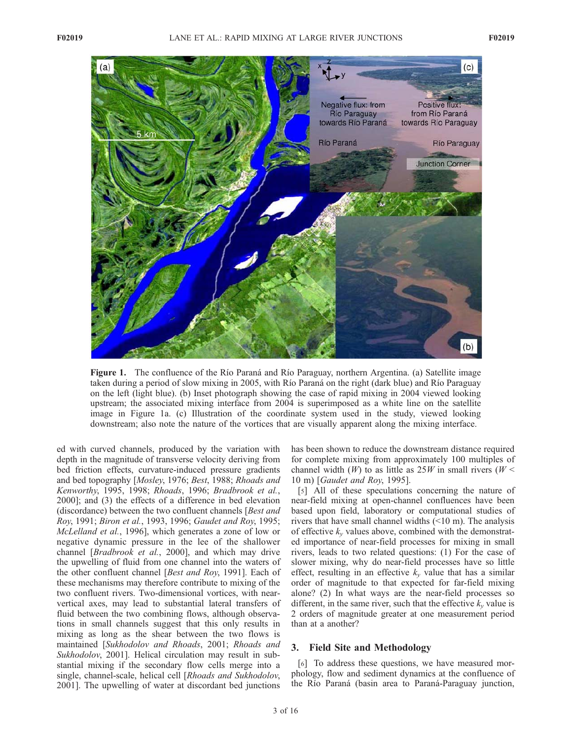

Figure 1. The confluence of the Río Paraná and Río Paraguay, northern Argentina. (a) Satellite image taken during a period of slow mixing in 2005, with Río Paraná on the right (dark blue) and Río Paraguay on the left (light blue). (b) Inset photograph showing the case of rapid mixing in 2004 viewed looking upstream; the associated mixing interface from 2004 is superimposed as a white line on the satellite image in Figure 1a. (c) Illustration of the coordinate system used in the study, viewed looking downstream; also note the nature of the vortices that are visually apparent along the mixing interface.

ed with curved channels, produced by the variation with depth in the magnitude of transverse velocity deriving from bed friction effects, curvature-induced pressure gradients and bed topography [Mosley, 1976; Best, 1988; Rhoads and Kenworthy, 1995, 1998; Rhoads, 1996; Bradbrook et al., 2000]; and (3) the effects of a difference in bed elevation (discordance) between the two confluent channels [Best and Roy, 1991; Biron et al., 1993, 1996; Gaudet and Roy, 1995; McLelland et al., 1996], which generates a zone of low or negative dynamic pressure in the lee of the shallower channel [Bradbrook et al., 2000], and which may drive the upwelling of fluid from one channel into the waters of the other confluent channel [Best and Roy, 1991]. Each of these mechanisms may therefore contribute to mixing of the two confluent rivers. Two-dimensional vortices, with nearvertical axes, may lead to substantial lateral transfers of fluid between the two combining flows, although observations in small channels suggest that this only results in mixing as long as the shear between the two flows is maintained [Sukhodolov and Rhoads, 2001; Rhoads and Sukhodolov, 2001]. Helical circulation may result in substantial mixing if the secondary flow cells merge into a single, channel-scale, helical cell [Rhoads and Sukhodolov, 2001]. The upwelling of water at discordant bed junctions

has been shown to reduce the downstream distance required for complete mixing from approximately 100 multiples of channel width  $(W)$  to as little as  $25W$  in small rivers  $(W \leq$ 10 m) [Gaudet and Roy, 1995].

[5] All of these speculations concerning the nature of near-field mixing at open-channel confluences have been based upon field, laboratory or computational studies of rivers that have small channel widths (<10 m). The analysis of effective  $k<sub>v</sub>$  values above, combined with the demonstrated importance of near-field processes for mixing in small rivers, leads to two related questions: (1) For the case of slower mixing, why do near-field processes have so little effect, resulting in an effective  $k<sub>v</sub>$  value that has a similar order of magnitude to that expected for far-field mixing alone? (2) In what ways are the near-field processes so different, in the same river, such that the effective  $k<sub>v</sub>$  value is 2 orders of magnitude greater at one measurement period than at a another?

### 3. Field Site and Methodology

[6] To address these questions, we have measured morphology, flow and sediment dynamics at the confluence of the Río Paraná (basin area to Paraná-Paraguay junction,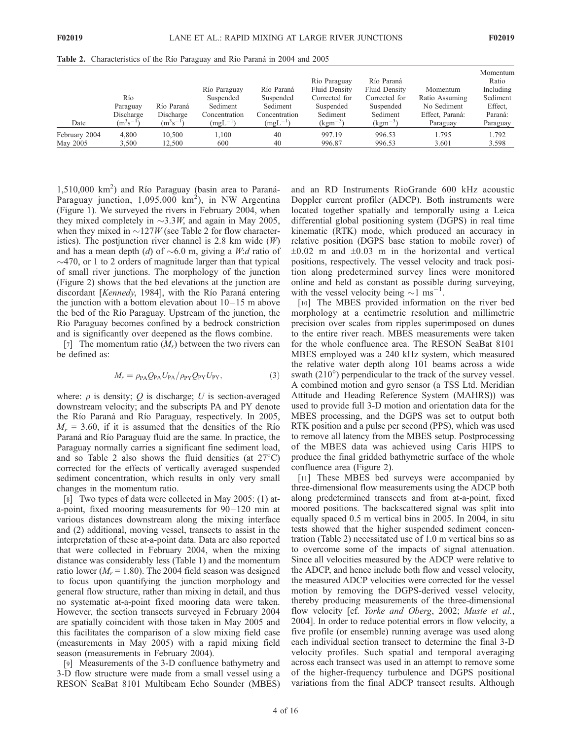|               |               |               |               |               |                      |                      |                 | Momentum  |
|---------------|---------------|---------------|---------------|---------------|----------------------|----------------------|-----------------|-----------|
|               |               |               |               |               | Río Paraguay         | Río Paraná           |                 | Ratio     |
|               |               |               | Río Paraguay  | Río Paraná    | <b>Fluid Density</b> | <b>Fluid Density</b> | Momentum        | Including |
|               | Río           |               | Suspended     | Suspended     | Corrected for        | Corrected for        | Ratio Assuming  | Sediment  |
|               | Paraguay      | Río Paraná    | Sediment      | Sediment      | Suspended            | Suspended            | No Sediment     | Effect,   |
|               | Discharge     | Discharge     | Concentration | Concentration | Sediment             | Sediment             | Effect, Paraná: | Paraná:   |
| Date          | $(m^3s^{-1})$ | $(m^3s^{-1})$ | $(mgL^{-1}$   | $(mgL^{-1})$  | $\text{(kgm}^{-3})$  | $\text{(kgm}^{-3})$  | Paraguay        | Paraguay  |
| February 2004 | 4.800         | 10.500        | 1.100         | 40            | 997.19               | 996.53               | 1.795           | .792      |
| May 2005      | 3,500         | 12.500        | 600           | 40            | 996.87               | 996.53               | 3.601           | 3.598     |

Table 2. Characteristics of the Río Paraguay and Río Paraná in 2004 and 2005

 $1,510,000$  km<sup>2</sup>) and Río Paraguay (basin area to Paraná-Paraguay junction,  $1,095,000$  km<sup>2</sup>), in NW Argentina (Figure 1). We surveyed the rivers in February 2004, when they mixed completely in  $\sim$ 3.3W, and again in May 2005, when they mixed in  $\sim 127W$  (see Table 2 for flow characteristics). The postjunction river channel is 2.8 km wide  $(W)$ and has a mean depth (d) of  $\sim 6.0$  m, giving a *W:d* ratio of  $\sim$ 470, or 1 to 2 orders of magnitude larger than that typical of small river junctions. The morphology of the junction (Figure 2) shows that the bed elevations at the junction are discordant [Kennedy, 1984], with the Río Paraná entering the junction with a bottom elevation about  $10-15$  m above the bed of the Rı´o Paraguay. Upstream of the junction, the Rı´o Paraguay becomes confined by a bedrock constriction and is significantly over deepened as the flows combine.

[7] The momentum ratio  $(M_r)$  between the two rivers can be defined as:

$$
M_r = \rho_{\text{PA}} Q_{\text{PA}} U_{\text{PA}} / \rho_{\text{PY}} Q_{\text{PY}} U_{\text{PY}},\tag{3}
$$

where:  $\rho$  is density; Q is discharge; U is section-averaged downstream velocity; and the subscripts PA and PY denote the Río Paraná and Río Paraguay, respectively. In 2005,  $M_r = 3.60$ , if it is assumed that the densities of the Río Paraná and Río Paraguay fluid are the same. In practice, the Paraguay normally carries a significant fine sediment load, and so Table 2 also shows the fluid densities (at  $27^{\circ}$ C) corrected for the effects of vertically averaged suspended sediment concentration, which results in only very small changes in the momentum ratio.

[8] Two types of data were collected in May 2005: (1) ata-point, fixed mooring measurements for  $90-120$  min at various distances downstream along the mixing interface and (2) additional, moving vessel, transects to assist in the interpretation of these at-a-point data. Data are also reported that were collected in February 2004, when the mixing distance was considerably less (Table 1) and the momentum ratio lower ( $M_r$  = 1.80). The 2004 field season was designed to focus upon quantifying the junction morphology and general flow structure, rather than mixing in detail, and thus no systematic at-a-point fixed mooring data were taken. However, the section transects surveyed in February 2004 are spatially coincident with those taken in May 2005 and this facilitates the comparison of a slow mixing field case (measurements in May 2005) with a rapid mixing field season (measurements in February 2004).

[9] Measurements of the 3-D confluence bathymetry and 3-D flow structure were made from a small vessel using a RESON SeaBat 8101 Multibeam Echo Sounder (MBES)

and an RD Instruments RioGrande 600 kHz acoustic Doppler current profiler (ADCP). Both instruments were located together spatially and temporally using a Leica differential global positioning system (DGPS) in real time kinematic (RTK) mode, which produced an accuracy in relative position (DGPS base station to mobile rover) of  $\pm 0.02$  m and  $\pm 0.03$  m in the horizontal and vertical positions, respectively. The vessel velocity and track position along predetermined survey lines were monitored online and held as constant as possible during surveying, with the vessel velocity being  $\sim 1 \text{ ms}^{-1}$ .

[10] The MBES provided information on the river bed morphology at a centimetric resolution and millimetric precision over scales from ripples superimposed on dunes to the entire river reach. MBES measurements were taken for the whole confluence area. The RESON SeaBat 8101 MBES employed was a 240 kHz system, which measured the relative water depth along 101 beams across a wide swath  $(210^{\circ})$  perpendicular to the track of the survey vessel. A combined motion and gyro sensor (a TSS Ltd. Meridian Attitude and Heading Reference System (MAHRS)) was used to provide full 3-D motion and orientation data for the MBES processing, and the DGPS was set to output both RTK position and a pulse per second (PPS), which was used to remove all latency from the MBES setup. Postprocessing of the MBES data was achieved using Caris HIPS to produce the final gridded bathymetric surface of the whole confluence area (Figure 2).

[11] These MBES bed surveys were accompanied by three-dimensional flow measurements using the ADCP both along predetermined transects and from at-a-point, fixed moored positions. The backscattered signal was split into equally spaced 0.5 m vertical bins in 2005. In 2004, in situ tests showed that the higher suspended sediment concentration (Table 2) necessitated use of 1.0 m vertical bins so as to overcome some of the impacts of signal attenuation. Since all velocities measured by the ADCP were relative to the ADCP, and hence include both flow and vessel velocity, the measured ADCP velocities were corrected for the vessel motion by removing the DGPS-derived vessel velocity, thereby producing measurements of the three-dimensional flow velocity [cf. Yorke and Oberg, 2002; Muste et al., 2004]. In order to reduce potential errors in flow velocity, a five profile (or ensemble) running average was used along each individual section transect to determine the final 3-D velocity profiles. Such spatial and temporal averaging across each transect was used in an attempt to remove some of the higher-frequency turbulence and DGPS positional variations from the final ADCP transect results. Although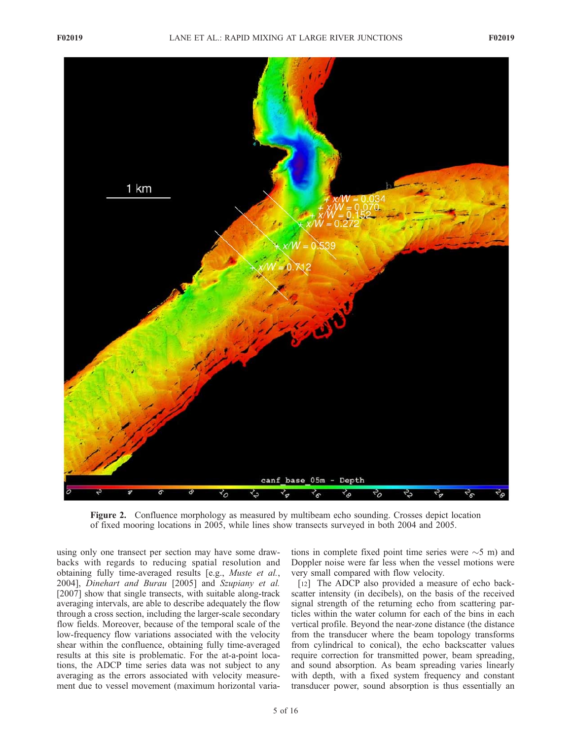

Figure 2. Confluence morphology as measured by multibeam echo sounding. Crosses depict location of fixed mooring locations in 2005, while lines show transects surveyed in both 2004 and 2005.

using only one transect per section may have some drawbacks with regards to reducing spatial resolution and obtaining fully time-averaged results [e.g., Muste et al., 2004], Dinehart and Burau [2005] and Szupiany et al. [2007] show that single transects, with suitable along-track averaging intervals, are able to describe adequately the flow through a cross section, including the larger-scale secondary flow fields. Moreover, because of the temporal scale of the low-frequency flow variations associated with the velocity shear within the confluence, obtaining fully time-averaged results at this site is problematic. For the at-a-point locations, the ADCP time series data was not subject to any averaging as the errors associated with velocity measurement due to vessel movement (maximum horizontal variations in complete fixed point time series were  $\sim$  5 m) and Doppler noise were far less when the vessel motions were very small compared with flow velocity.

[12] The ADCP also provided a measure of echo backscatter intensity (in decibels), on the basis of the received signal strength of the returning echo from scattering particles within the water column for each of the bins in each vertical profile. Beyond the near-zone distance (the distance from the transducer where the beam topology transforms from cylindrical to conical), the echo backscatter values require correction for transmitted power, beam spreading, and sound absorption. As beam spreading varies linearly with depth, with a fixed system frequency and constant transducer power, sound absorption is thus essentially an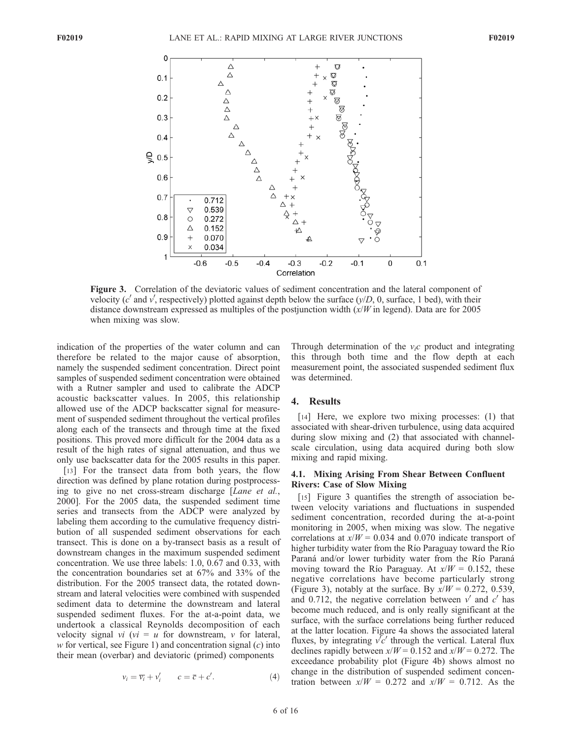

Figure 3. Correlation of the deviatoric values of sediment concentration and the lateral component of velocity (c' and v', respectively) plotted against depth below the surface ( $y/D$ , 0, surface, 1 bed), with their distance downstream expressed as multiples of the postiunction width  $(x/W)$  in legend). Data are for 2005 when mixing was slow.

indication of the properties of the water column and can therefore be related to the major cause of absorption, namely the suspended sediment concentration. Direct point samples of suspended sediment concentration were obtained with a Rutner sampler and used to calibrate the ADCP acoustic backscatter values. In 2005, this relationship allowed use of the ADCP backscatter signal for measurement of suspended sediment throughout the vertical profiles along each of the transects and through time at the fixed positions. This proved more difficult for the 2004 data as a result of the high rates of signal attenuation, and thus we only use backscatter data for the 2005 results in this paper.

[13] For the transect data from both years, the flow direction was defined by plane rotation during postprocessing to give no net cross-stream discharge [Lane et al., 2000]. For the 2005 data, the suspended sediment time series and transects from the ADCP were analyzed by labeling them according to the cumulative frequency distribution of all suspended sediment observations for each transect. This is done on a by-transect basis as a result of downstream changes in the maximum suspended sediment concentration. We use three labels: 1.0, 0.67 and 0.33, with the concentration boundaries set at 67% and 33% of the distribution. For the 2005 transect data, the rotated downstream and lateral velocities were combined with suspended sediment data to determine the downstream and lateral suspended sediment fluxes. For the at-a-point data, we undertook a classical Reynolds decomposition of each velocity signal *vi* ( $vi = u$  for downstream, *v* for lateral, w for vertical, see Figure 1) and concentration signal  $(c)$  into their mean (overbar) and deviatoric (primed) components

$$
v_i = \overline{v_i} + v'_i \qquad c = \overline{c} + c'. \tag{4}
$$

Through determination of the  $v_i c$  product and integrating this through both time and the flow depth at each measurement point, the associated suspended sediment flux was determined.

#### 4. Results

[14] Here, we explore two mixing processes: (1) that associated with shear-driven turbulence, using data acquired during slow mixing and (2) that associated with channelscale circulation, using data acquired during both slow mixing and rapid mixing.

## 4.1. Mixing Arising From Shear Between Confluent Rivers: Case of Slow Mixing

[15] Figure 3 quantifies the strength of association between velocity variations and fluctuations in suspended sediment concentration, recorded during the at-a-point monitoring in 2005, when mixing was slow. The negative correlations at  $x/W = 0.034$  and 0.070 indicate transport of higher turbidity water from the Río Paraguay toward the Río Paraná and/or lower turbidity water from the Río Paraná moving toward the Río Paraguay. At  $x/W = 0.152$ , these negative correlations have become particularly strong (Figure 3), notably at the surface. By  $x/W = 0.272$ , 0.539, and 0.712, the negative correlation between  $v'$  and  $c'$  has become much reduced, and is only really significant at the surface, with the surface correlations being further reduced at the latter location. Figure 4a shows the associated lateral fluxes, by integrating  $v'c'$  through the vertical. Lateral flux declines rapidly between  $x/W = 0.152$  and  $x/W = 0.272$ . The exceedance probability plot (Figure 4b) shows almost no change in the distribution of suspended sediment concentration between  $x/W = 0.272$  and  $x/W = 0.712$ . As the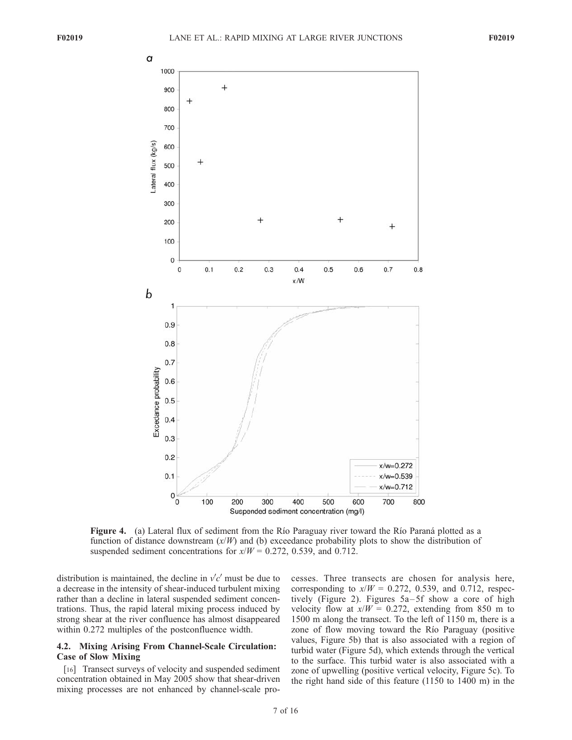

Figure 4. (a) Lateral flux of sediment from the Río Paraguay river toward the Río Paraná plotted as a function of distance downstream  $(x/W)$  and (b) exceedance probability plots to show the distribution of suspended sediment concentrations for  $x/W = 0.272$ , 0.539, and 0.712.

distribution is maintained, the decline in  $v'c'$  must be due to a decrease in the intensity of shear-induced turbulent mixing rather than a decline in lateral suspended sediment concentrations. Thus, the rapid lateral mixing process induced by strong shear at the river confluence has almost disappeared within 0.272 multiples of the postconfluence width.

## 4.2. Mixing Arising From Channel-Scale Circulation: Case of Slow Mixing

[16] Transect surveys of velocity and suspended sediment concentration obtained in May 2005 show that shear-driven mixing processes are not enhanced by channel-scale processes. Three transects are chosen for analysis here, corresponding to  $x/W = 0.272$ , 0.539, and 0.712, respectively (Figure 2). Figures  $5a-5f$  show a core of high velocity flow at  $x/W = 0.272$ , extending from 850 m to 1500 m along the transect. To the left of 1150 m, there is a zone of flow moving toward the Río Paraguay (positive values, Figure 5b) that is also associated with a region of turbid water (Figure 5d), which extends through the vertical to the surface. This turbid water is also associated with a zone of upwelling (positive vertical velocity, Figure 5c). To the right hand side of this feature (1150 to 1400 m) in the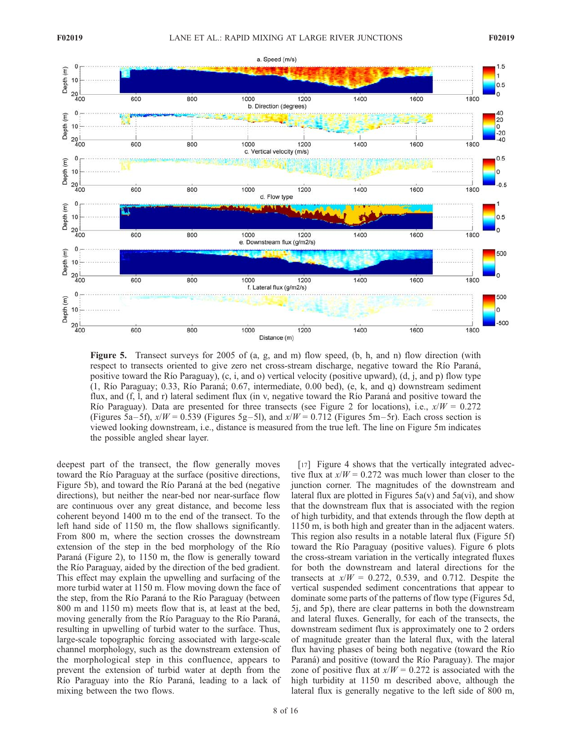

Figure 5. Transect surveys for 2005 of (a, g, and m) flow speed, (b, h, and n) flow direction (with respect to transects oriented to give zero net cross-stream discharge, negative toward the Río Paraná, positive toward the Río Paraguay),  $(c, i, and o)$  vertical velocity (positive upward),  $(d, j, and p)$  flow type (1, Rı´o Paraguay; 0.33, Rı´o Parana´; 0.67, intermediate, 0.00 bed), (e, k, and q) downstream sediment flux, and (f, l, and r) lateral sediment flux (in v, negative toward the Río Paraná and positive toward the Río Paraguay). Data are presented for three transects (see Figure 2 for locations), i.e.,  $x/W = 0.272$ (Figures 5a–5f),  $x/W = 0.539$  (Figures 5g–5l), and  $x/W = 0.712$  (Figures 5m–5r). Each cross section is viewed looking downstream, i.e., distance is measured from the true left. The line on Figure 5m indicates the possible angled shear layer.

deepest part of the transect, the flow generally moves toward the R<sub>i</sub>o Paraguay at the surface (positive directions, Figure 5b), and toward the Río Paraná at the bed (negative directions), but neither the near-bed nor near-surface flow are continuous over any great distance, and become less coherent beyond 1400 m to the end of the transect. To the left hand side of 1150 m, the flow shallows significantly. From 800 m, where the section crosses the downstream extension of the step in the bed morphology of the Rio Paraná (Figure 2), to 1150 m, the flow is generally toward the Rı´o Paraguay, aided by the direction of the bed gradient. This effect may explain the upwelling and surfacing of the more turbid water at 1150 m. Flow moving down the face of the step, from the Río Paraná to the Río Paraguay (between 800 m and 1150 m) meets flow that is, at least at the bed, moving generally from the Rio Paraguay to the Rio Paraná, resulting in upwelling of turbid water to the surface. Thus, large-scale topographic forcing associated with large-scale channel morphology, such as the downstream extension of the morphological step in this confluence, appears to prevent the extension of turbid water at depth from the Río Paraguay into the Río Paraná, leading to a lack of mixing between the two flows.

[17] Figure 4 shows that the vertically integrated advective flux at  $x/W = 0.272$  was much lower than closer to the junction corner. The magnitudes of the downstream and lateral flux are plotted in Figures  $5a(v)$  and  $5a(vi)$ , and show that the downstream flux that is associated with the region of high turbidity, and that extends through the flow depth at 1150 m, is both high and greater than in the adjacent waters. This region also results in a notable lateral flux (Figure 5f) toward the Rı´o Paraguay (positive values). Figure 6 plots the cross-stream variation in the vertically integrated fluxes for both the downstream and lateral directions for the transects at  $x/W = 0.272$ , 0.539, and 0.712. Despite the vertical suspended sediment concentrations that appear to dominate some parts of the patterns of flow type (Figures 5d, 5j, and 5p), there are clear patterns in both the downstream and lateral fluxes. Generally, for each of the transects, the downstream sediment flux is approximately one to 2 orders of magnitude greater than the lateral flux, with the lateral flux having phases of being both negative (toward the Rio Paraná) and positive (toward the Río Paraguay). The major zone of positive flux at  $x/W = 0.272$  is associated with the high turbidity at 1150 m described above, although the lateral flux is generally negative to the left side of 800 m,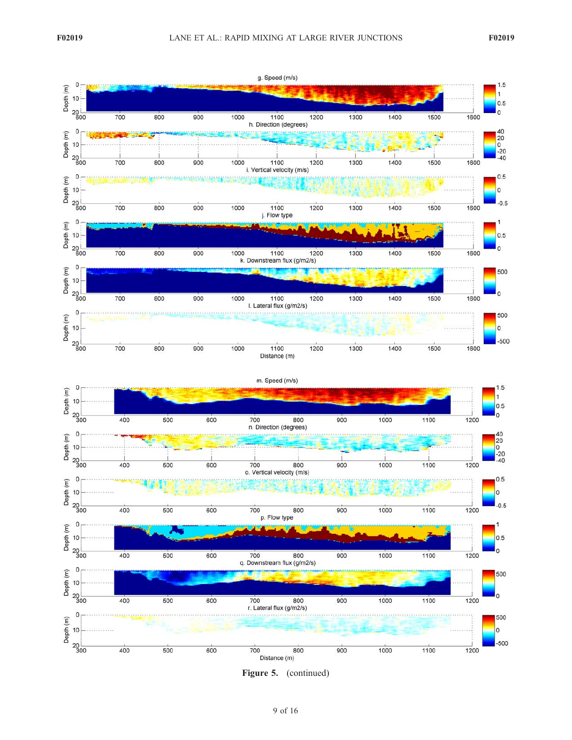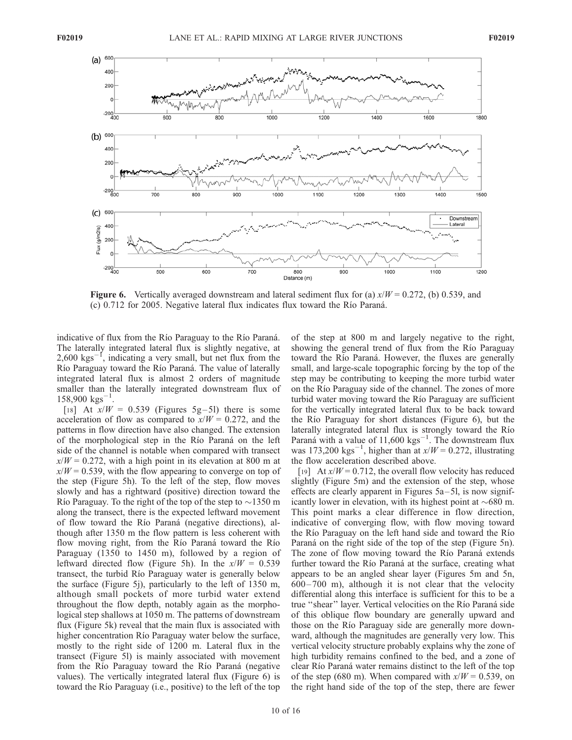

**Figure 6.** Vertically averaged downstream and lateral sediment flux for (a)  $x/W = 0.272$ , (b) 0.539, and (c) 0.712 for 2005. Negative lateral flux indicates flux toward the Rı´o Parana´.

indicative of flux from the Río Paraguay to the Río Paraná. The laterally integrated lateral flux is slightly negative, at  $2,600 \text{ kgs}^{-1}$ , indicating a very small, but net flux from the Río Paraguay toward the Río Paraná. The value of laterally integrated lateral flux is almost 2 orders of magnitude smaller than the laterally integrated downstream flux of  $158,900$  kgs<sup>-1</sup> .

[18] At  $x/W = 0.539$  (Figures 5g-5l) there is some acceleration of flow as compared to  $x/W = 0.272$ , and the patterns in flow direction have also changed. The extension of the morphological step in the Río Paraná on the left side of the channel is notable when compared with transect  $x/W = 0.272$ , with a high point in its elevation at 800 m at  $x/W = 0.539$ , with the flow appearing to converge on top of the step (Figure 5h). To the left of the step, flow moves slowly and has a rightward (positive) direction toward the Rio Paraguay. To the right of the top of the step to  $\sim$ 1350 m along the transect, there is the expected leftward movement of flow toward the Río Paraná (negative directions), although after 1350 m the flow pattern is less coherent with flow moving right, from the Río Paraná toward the Río Paraguay (1350 to 1450 m), followed by a region of leftward directed flow (Figure 5h). In the  $x/W = 0.539$ transect, the turbid Río Paraguay water is generally below the surface (Figure 5j), particularly to the left of 1350 m, although small pockets of more turbid water extend throughout the flow depth, notably again as the morphological step shallows at 1050 m. The patterns of downstream flux (Figure 5k) reveal that the main flux is associated with higher concentration Río Paraguay water below the surface, mostly to the right side of 1200 m. Lateral flux in the transect (Figure 5l) is mainly associated with movement from the Río Paraguay toward the Río Paraná (negative values). The vertically integrated lateral flux (Figure 6) is toward the Río Paraguay (i.e., positive) to the left of the top

of the step at 800 m and largely negative to the right, showing the general trend of flux from the Rio Paraguay toward the Río Paraná. However, the fluxes are generally small, and large-scale topographic forcing by the top of the step may be contributing to keeping the more turbid water on the Rı´o Paraguay side of the channel. The zones of more turbid water moving toward the Río Paraguay are sufficient for the vertically integrated lateral flux to be back toward the Rı´o Paraguay for short distances (Figure 6), but the laterally integrated lateral flux is strongly toward the Río Paraná with a value of  $11,600 \text{ kgs}^{-1}$ . The downstream flux was 173,200 kgs<sup>-1</sup>, higher than at  $x/W = 0.272$ , illustrating the flow acceleration described above.

[19] At  $x/W = 0.712$ , the overall flow velocity has reduced slightly (Figure 5m) and the extension of the step, whose effects are clearly apparent in Figures 5a–5l, is now significantly lower in elevation, with its highest point at  $\sim 680$  m. This point marks a clear difference in flow direction, indicative of converging flow, with flow moving toward the Rio Paraguay on the left hand side and toward the Rio Paraná on the right side of the top of the step (Figure 5n). The zone of flow moving toward the Río Paraná extends further toward the Río Paraná at the surface, creating what appears to be an angled shear layer (Figures 5m and 5n,  $600 - 700$  m), although it is not clear that the velocity differential along this interface is sufficient for this to be a true "shear" layer. Vertical velocities on the Río Paraná side of this oblique flow boundary are generally upward and those on the Río Paraguay side are generally more downward, although the magnitudes are generally very low. This vertical velocity structure probably explains why the zone of high turbidity remains confined to the bed, and a zone of clear Río Paraná water remains distinct to the left of the top of the step (680 m). When compared with  $x/W = 0.539$ , on the right hand side of the top of the step, there are fewer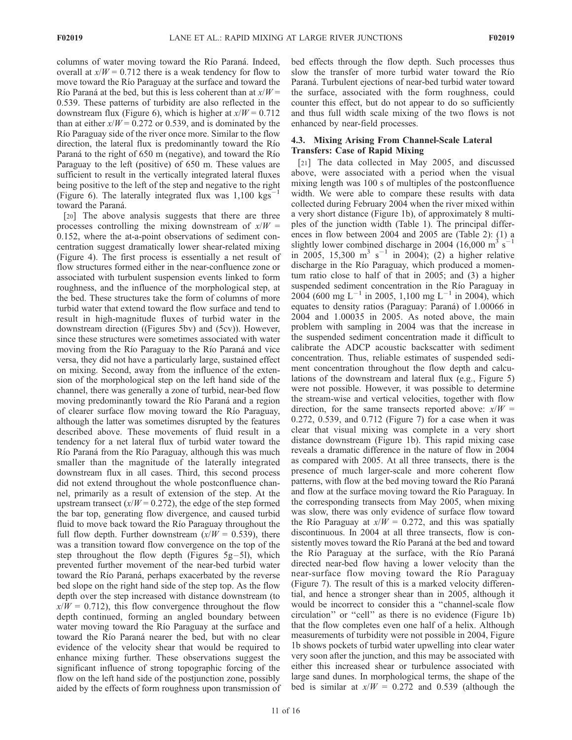columns of water moving toward the Río Paraná. Indeed, overall at  $x/W = 0.712$  there is a weak tendency for flow to move toward the Río Paraguay at the surface and toward the Río Paraná at the bed, but this is less coherent than at  $x/W =$ 0.539. These patterns of turbidity are also reflected in the downstream flux (Figure 6), which is higher at  $x/W = 0.712$ than at either  $x/W = 0.272$  or 0.539, and is dominated by the Río Paraguay side of the river once more. Similar to the flow direction, the lateral flux is predominantly toward the Río Paraná to the right of 650 m (negative), and toward the Río Paraguay to the left (positive) of 650 m. These values are sufficient to result in the vertically integrated lateral fluxes being positive to the left of the step and negative to the right (Figure 6). The laterally integrated flux was  $1,100 \text{ kgs}^{-1}$ toward the Paraná.

[20] The above analysis suggests that there are three processes controlling the mixing downstream of  $x/W =$ 0.152, where the at-a-point observations of sediment concentration suggest dramatically lower shear-related mixing (Figure 4). The first process is essentially a net result of flow structures formed either in the near-confluence zone or associated with turbulent suspension events linked to form roughness, and the influence of the morphological step, at the bed. These structures take the form of columns of more turbid water that extend toward the flow surface and tend to result in high-magnitude fluxes of turbid water in the downstream direction ((Figures 5bv) and (5cv)). However, since these structures were sometimes associated with water moving from the Río Paraguay to the Río Paraná and vice versa, they did not have a particularly large, sustained effect on mixing. Second, away from the influence of the extension of the morphological step on the left hand side of the channel, there was generally a zone of turbid, near-bed flow moving predominantly toward the Río Paraná and a region of clearer surface flow moving toward the Rı´o Paraguay, although the latter was sometimes disrupted by the features described above. These movements of fluid result in a tendency for a net lateral flux of turbid water toward the Río Paraná from the Río Paraguay, although this was much smaller than the magnitude of the laterally integrated downstream flux in all cases. Third, this second process did not extend throughout the whole postconfluence channel, primarily as a result of extension of the step. At the upstream transect  $(x/W = 0.272)$ , the edge of the step formed the bar top, generating flow divergence, and caused turbid fluid to move back toward the Río Paraguay throughout the full flow depth. Further downstream  $(x/W = 0.539)$ , there was a transition toward flow convergence on the top of the step throughout the flow depth (Figures  $5g-5l$ ), which prevented further movement of the near-bed turbid water toward the Río Paraná, perhaps exacerbated by the reverse bed slope on the right hand side of the step top. As the flow depth over the step increased with distance downstream (to  $x/W = 0.712$ , this flow convergence throughout the flow depth continued, forming an angled boundary between water moving toward the Río Paraguay at the surface and toward the Río Paraná nearer the bed, but with no clear evidence of the velocity shear that would be required to enhance mixing further. These observations suggest the significant influence of strong topographic forcing of the flow on the left hand side of the postjunction zone, possibly aided by the effects of form roughness upon transmission of bed effects through the flow depth. Such processes thus slow the transfer of more turbid water toward the Río Paraná. Turbulent ejections of near-bed turbid water toward the surface, associated with the form roughness, could counter this effect, but do not appear to do so sufficiently and thus full width scale mixing of the two flows is not enhanced by near-field processes.

### 4.3. Mixing Arising From Channel-Scale Lateral Transfers: Case of Rapid Mixing

[21] The data collected in May 2005, and discussed above, were associated with a period when the visual mixing length was 100 s of multiples of the postconfluence width. We were able to compare these results with data collected during February 2004 when the river mixed within a very short distance (Figure 1b), of approximately 8 multiples of the junction width (Table 1). The principal differences in flow between 2004 and 2005 are (Table 2): (1) a slightly lower combined discharge in 2004  $(16,000 \text{ m}^3 \text{ s}^{-1})$ in 2005, 15,300 m<sup>3</sup> s<sup>-1</sup> in 2004); (2) a higher relative discharge in the Río Paraguay, which produced a momentum ratio close to half of that in 2005; and (3) a higher suspended sediment concentration in the Rio Paraguay in 2004 (600 mg L<sup>-1</sup> in 2005, 1,100 mg L<sup>-1</sup> in 2004), which equates to density ratios (Paraguay: Paraná) of 1.00066 in 2004 and 1.00035 in 2005. As noted above, the main problem with sampling in 2004 was that the increase in the suspended sediment concentration made it difficult to calibrate the ADCP acoustic backscatter with sediment concentration. Thus, reliable estimates of suspended sediment concentration throughout the flow depth and calculations of the downstream and lateral flux (e.g., Figure 5) were not possible. However, it was possible to determine the stream-wise and vertical velocities, together with flow direction, for the same transects reported above:  $x/W =$ 0.272, 0.539, and 0.712 (Figure 7) for a case when it was clear that visual mixing was complete in a very short distance downstream (Figure 1b). This rapid mixing case reveals a dramatic difference in the nature of flow in 2004 as compared with 2005. At all three transects, there is the presence of much larger-scale and more coherent flow patterns, with flow at the bed moving toward the Río Paraná and flow at the surface moving toward the Río Paraguay. In the corresponding transects from May 2005, when mixing was slow, there was only evidence of surface flow toward the Río Paraguay at  $x/W = 0.272$ , and this was spatially discontinuous. In 2004 at all three transects, flow is consistently moves toward the Rio Paraná at the bed and toward the Río Paraguay at the surface, with the Río Paraná directed near-bed flow having a lower velocity than the near-surface flow moving toward the Rio Paraguay (Figure 7). The result of this is a marked velocity differential, and hence a stronger shear than in 2005, although it would be incorrect to consider this a ''channel-scale flow circulation'' or ''cell'' as there is no evidence (Figure 1b) that the flow completes even one half of a helix. Although measurements of turbidity were not possible in 2004, Figure 1b shows pockets of turbid water upwelling into clear water very soon after the junction, and this may be associated with either this increased shear or turbulence associated with large sand dunes. In morphological terms, the shape of the bed is similar at  $x/W = 0.272$  and 0.539 (although the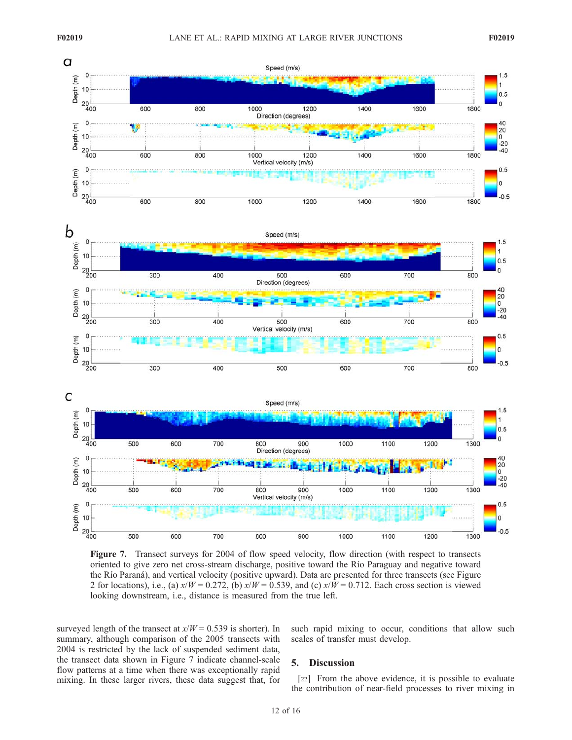

Figure 7. Transect surveys for 2004 of flow speed velocity, flow direction (with respect to transects oriented to give zero net cross-stream discharge, positive toward the Rı´o Paraguay and negative toward the Río Paraná), and vertical velocity (positive upward). Data are presented for three transects (see Figure 2 for locations), i.e., (a)  $x/W = 0.272$ , (b)  $x/W = 0.539$ , and (c)  $x/W = 0.712$ . Each cross section is viewed looking downstream, i.e., distance is measured from the true left.

surveyed length of the transect at  $x/W = 0.539$  is shorter). In summary, although comparison of the 2005 transects with 2004 is restricted by the lack of suspended sediment data, the transect data shown in Figure 7 indicate channel-scale flow patterns at a time when there was exceptionally rapid mixing. In these larger rivers, these data suggest that, for such rapid mixing to occur, conditions that allow such scales of transfer must develop.

## 5. Discussion

[22] From the above evidence, it is possible to evaluate the contribution of near-field processes to river mixing in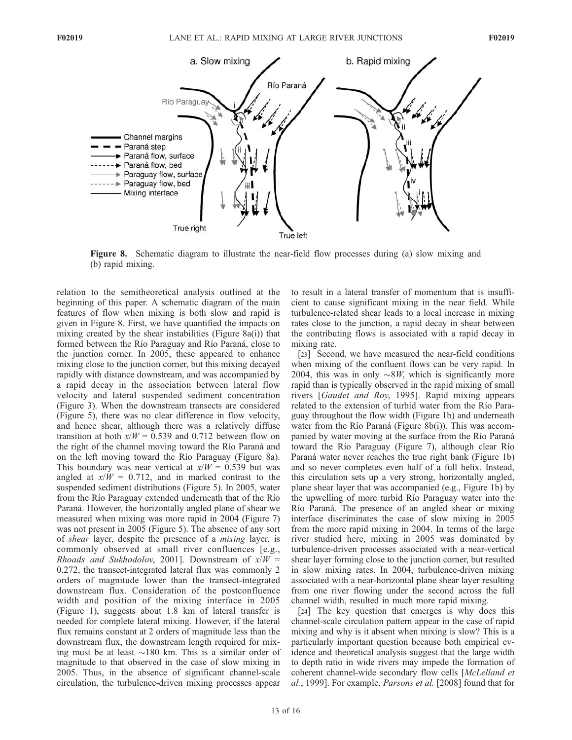

Figure 8. Schematic diagram to illustrate the near-field flow processes during (a) slow mixing and (b) rapid mixing.

relation to the semitheoretical analysis outlined at the beginning of this paper. A schematic diagram of the main features of flow when mixing is both slow and rapid is given in Figure 8. First, we have quantified the impacts on mixing created by the shear instabilities (Figure 8a(i)) that formed between the Río Paraguay and Río Paraná, close to the junction corner. In 2005, these appeared to enhance mixing close to the junction corner, but this mixing decayed rapidly with distance downstream, and was accompanied by a rapid decay in the association between lateral flow velocity and lateral suspended sediment concentration (Figure 3). When the downstream transects are considered (Figure 5), there was no clear difference in flow velocity, and hence shear, although there was a relatively diffuse transition at both  $x/W = 0.539$  and 0.712 between flow on the right of the channel moving toward the Río Paraná and on the left moving toward the Rı´o Paraguay (Figure 8a). This boundary was near vertical at  $x/W = 0.539$  but was angled at  $x/W = 0.712$ , and in marked contrast to the suspended sediment distributions (Figure 5). In 2005, water from the Río Paraguay extended underneath that of the Río Paraná. However, the horizontally angled plane of shear we measured when mixing was more rapid in 2004 (Figure 7) was not present in 2005 (Figure 5). The absence of any sort of shear layer, despite the presence of a mixing layer, is commonly observed at small river confluences [e.g., Rhoads and Sukhodolov, 2001]. Downstream of  $x/W =$ 0.272, the transect-integrated lateral flux was commonly 2 orders of magnitude lower than the transect-integrated downstream flux. Consideration of the postconfluence width and position of the mixing interface in 2005 (Figure 1), suggests about 1.8 km of lateral transfer is needed for complete lateral mixing. However, if the lateral flux remains constant at 2 orders of magnitude less than the downstream flux, the downstream length required for mixing must be at least  $\sim$ 180 km. This is a similar order of magnitude to that observed in the case of slow mixing in 2005. Thus, in the absence of significant channel-scale circulation, the turbulence-driven mixing processes appear

to result in a lateral transfer of momentum that is insufficient to cause significant mixing in the near field. While turbulence-related shear leads to a local increase in mixing rates close to the junction, a rapid decay in shear between the contributing flows is associated with a rapid decay in mixing rate.

[23] Second, we have measured the near-field conditions when mixing of the confluent flows can be very rapid. In 2004, this was in only  $\sim 8W$ , which is significantly more rapid than is typically observed in the rapid mixing of small rivers [Gaudet and Roy, 1995]. Rapid mixing appears related to the extension of turbid water from the Río Paraguay throughout the flow width (Figure 1b) and underneath water from the Río Paraná (Figure 8b(i)). This was accompanied by water moving at the surface from the Río Paraná toward the Río Paraguay (Figure 7), although clear Río Paraná water never reaches the true right bank (Figure 1b) and so never completes even half of a full helix. Instead, this circulation sets up a very strong, horizontally angled, plane shear layer that was accompanied (e.g., Figure 1b) by the upwelling of more turbid Rı´o Paraguay water into the Río Paraná. The presence of an angled shear or mixing interface discriminates the case of slow mixing in 2005 from the more rapid mixing in 2004. In terms of the large river studied here, mixing in 2005 was dominated by turbulence-driven processes associated with a near-vertical shear layer forming close to the junction corner, but resulted in slow mixing rates. In 2004, turbulence-driven mixing associated with a near-horizontal plane shear layer resulting from one river flowing under the second across the full channel width, resulted in much more rapid mixing.

[24] The key question that emerges is why does this channel-scale circulation pattern appear in the case of rapid mixing and why is it absent when mixing is slow? This is a particularly important question because both empirical evidence and theoretical analysis suggest that the large width to depth ratio in wide rivers may impede the formation of coherent channel-wide secondary flow cells [McLelland et al., 1999]. For example, Parsons et al. [2008] found that for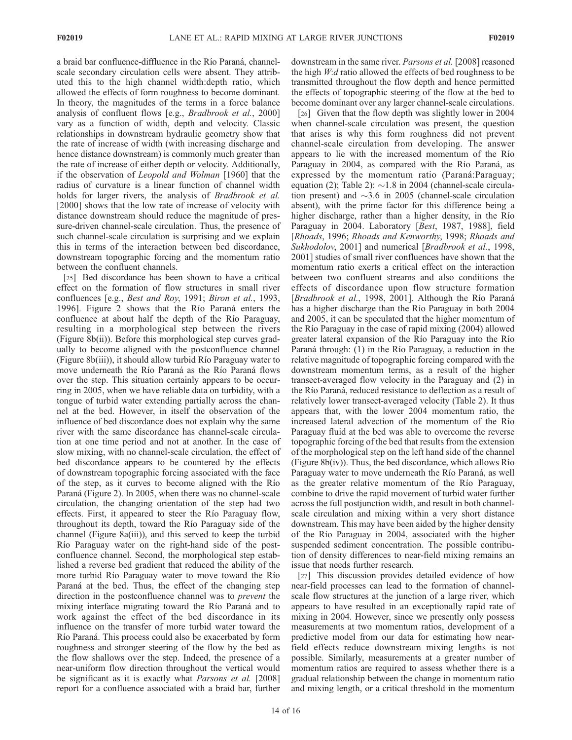a braid bar confluence-diffluence in the Río Paraná, channelscale secondary circulation cells were absent. They attributed this to the high channel width:depth ratio, which allowed the effects of form roughness to become dominant. In theory, the magnitudes of the terms in a force balance analysis of confluent flows [e.g., Bradbrook et al., 2000] vary as a function of width, depth and velocity. Classic relationships in downstream hydraulic geometry show that the rate of increase of width (with increasing discharge and hence distance downstream) is commonly much greater than the rate of increase of either depth or velocity. Additionally, if the observation of Leopold and Wolman [1960] that the radius of curvature is a linear function of channel width holds for larger rivers, the analysis of Bradbrook et al. [2000] shows that the low rate of increase of velocity with distance downstream should reduce the magnitude of pressure-driven channel-scale circulation. Thus, the presence of such channel-scale circulation is surprising and we explain this in terms of the interaction between bed discordance, downstream topographic forcing and the momentum ratio between the confluent channels.

[25] Bed discordance has been shown to have a critical effect on the formation of flow structures in small river confluences [e.g., Best and Roy, 1991; Biron et al., 1993, 1996]. Figure 2 shows that the Río Paraná enters the confluence at about half the depth of the Rio Paraguay, resulting in a morphological step between the rivers (Figure 8b(ii)). Before this morphological step curves gradually to become aligned with the postconfluence channel (Figure 8b(iii)), it should allow turbid Río Paraguay water to move underneath the Río Paraná as the Río Paraná flows over the step. This situation certainly appears to be occurring in 2005, when we have reliable data on turbidity, with a tongue of turbid water extending partially across the channel at the bed. However, in itself the observation of the influence of bed discordance does not explain why the same river with the same discordance has channel-scale circulation at one time period and not at another. In the case of slow mixing, with no channel-scale circulation, the effect of bed discordance appears to be countered by the effects of downstream topographic forcing associated with the face of the step, as it curves to become aligned with the Rı´o Paraná (Figure 2). In 2005, when there was no channel-scale circulation, the changing orientation of the step had two effects. First, it appeared to steer the Río Paraguay flow, throughout its depth, toward the Rı´o Paraguay side of the channel (Figure 8a(iii)), and this served to keep the turbid Rio Paraguay water on the right-hand side of the postconfluence channel. Second, the morphological step established a reverse bed gradient that reduced the ability of the more turbid Río Paraguay water to move toward the Río Paraná at the bed. Thus, the effect of the changing step direction in the postconfluence channel was to *prevent* the mixing interface migrating toward the Río Paraná and to work against the effect of the bed discordance in its influence on the transfer of more turbid water toward the Río Paraná. This process could also be exacerbated by form roughness and stronger steering of the flow by the bed as the flow shallows over the step. Indeed, the presence of a near-uniform flow direction throughout the vertical would be significant as it is exactly what Parsons et al. [2008] report for a confluence associated with a braid bar, further

downstream in the same river. Parsons et al. [2008] reasoned the high W:d ratio allowed the effects of bed roughness to be transmitted throughout the flow depth and hence permitted the effects of topographic steering of the flow at the bed to become dominant over any larger channel-scale circulations.

[26] Given that the flow depth was slightly lower in 2004 when channel-scale circulation was present, the question that arises is why this form roughness did not prevent channel-scale circulation from developing. The answer appears to lie with the increased momentum of the Rı´o Paraguay in 2004, as compared with the Río Paraná, as expressed by the momentum ratio (Paraná:Paraguay; equation (2); Table 2):  $\sim$ 1.8 in 2004 (channel-scale circulation present) and  $\sim$ 3.6 in 2005 (channel-scale circulation absent), with the prime factor for this difference being a higher discharge, rather than a higher density, in the Río Paraguay in 2004. Laboratory [Best, 1987, 1988], field [Rhoads, 1996; Rhoads and Kenworthy, 1998; Rhoads and Sukhodolov, 2001] and numerical [Bradbrook et al., 1998, 2001] studies of small river confluences have shown that the momentum ratio exerts a critical effect on the interaction between two confluent streams and also conditions the effects of discordance upon flow structure formation [Bradbrook et al., 1998, 2001]. Although the Río Paraná has a higher discharge than the Río Paraguay in both 2004 and 2005, it can be speculated that the higher momentum of the Río Paraguay in the case of rapid mixing (2004) allowed greater lateral expansion of the Río Paraguay into the Río Paraná through: (1) in the Río Paraguay, a reduction in the relative magnitude of topographic forcing compared with the downstream momentum terms, as a result of the higher transect-averaged flow velocity in the Paraguay and (2) in the Río Paraná, reduced resistance to deflection as a result of relatively lower transect-averaged velocity (Table 2). It thus appears that, with the lower 2004 momentum ratio, the increased lateral advection of the momentum of the Rı´o Paraguay fluid at the bed was able to overcome the reverse topographic forcing of the bed that results from the extension of the morphological step on the left hand side of the channel  $(Figure 8b(iv)$ . Thus, the bed discordance, which allows Río Paraguay water to move underneath the Río Paraná, as well as the greater relative momentum of the Rio Paraguay, combine to drive the rapid movement of turbid water further across the full postjunction width, and result in both channelscale circulation and mixing within a very short distance downstream. This may have been aided by the higher density of the Rı´o Paraguay in 2004, associated with the higher suspended sediment concentration. The possible contribution of density differences to near-field mixing remains an issue that needs further research.

[27] This discussion provides detailed evidence of how near-field processes can lead to the formation of channelscale flow structures at the junction of a large river, which appears to have resulted in an exceptionally rapid rate of mixing in 2004. However, since we presently only possess measurements at two momentum ratios, development of a predictive model from our data for estimating how nearfield effects reduce downstream mixing lengths is not possible. Similarly, measurements at a greater number of momentum ratios are required to assess whether there is a gradual relationship between the change in momentum ratio and mixing length, or a critical threshold in the momentum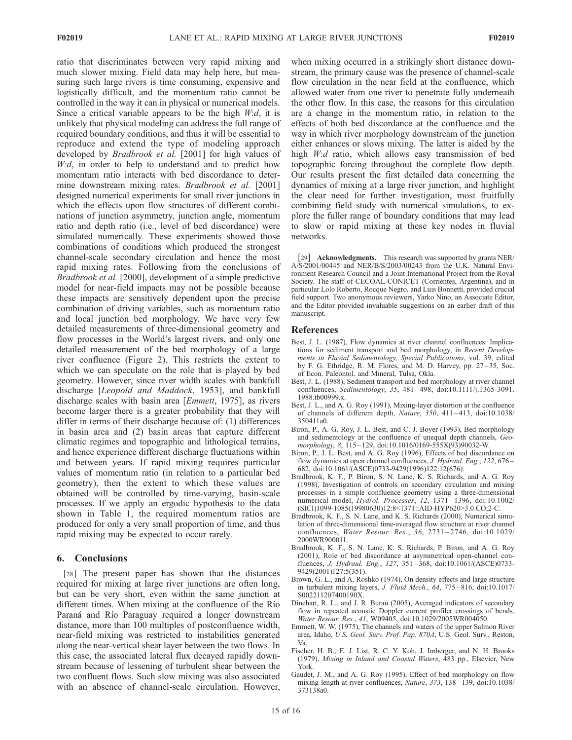ratio that discriminates between very rapid mixing and much slower mixing. Field data may help here, but measuring such large rivers is time consuming, expensive and logistically difficult, and the momentum ratio cannot be controlled in the way it can in physical or numerical models. Since a critical variable appears to be the high  $W: d$ , it is unlikely that physical modeling can address the full range of required boundary conditions, and thus it will be essential to reproduce and extend the type of modeling approach developed by *Bradbrook et al.* [2001] for high values of  $W: d$ , in order to help to understand and to predict how momentum ratio interacts with bed discordance to determine downstream mixing rates. Bradbrook et al. [2001] designed numerical experiments for small river junctions in which the effects upon flow structures of different combinations of junction asymmetry, junction angle, momentum ratio and depth ratio (i.e., level of bed discordance) were simulated numerically. These experiments showed those combinations of conditions which produced the strongest channel-scale secondary circulation and hence the most rapid mixing rates. Following from the conclusions of Bradbrook et al. [2000], development of a simple predictive model for near-field impacts may not be possible because these impacts are sensitively dependent upon the precise combination of driving variables, such as momentum ratio and local junction bed morphology. We have very few detailed measurements of three-dimensional geometry and flow processes in the World's largest rivers, and only one detailed measurement of the bed morphology of a large river confluence (Figure 2). This restricts the extent to which we can speculate on the role that is played by bed geometry. However, since river width scales with bankfull discharge [Leopold and Maddock, 1953], and bankfull discharge scales with basin area [Emmett, 1975], as rivers become larger there is a greater probability that they will differ in terms of their discharge because of: (1) differences in basin area and (2) basin areas that capture different climatic regimes and topographic and lithological terrains, and hence experience different discharge fluctuations within and between years. If rapid mixing requires particular values of momentum ratio (in relation to a particular bed geometry), then the extent to which these values are obtained will be controlled by time-varying, basin-scale processes. If we apply an ergodic hypothesis to the data shown in Table 1, the required momentum ratios are produced for only a very small proportion of time, and thus rapid mixing may be expected to occur rarely.

#### 6. Conclusions

[28] The present paper has shown that the distances required for mixing at large river junctions are often long, but can be very short, even within the same junction at different times. When mixing at the confluence of the Rio Paraná and Río Paraguay required a longer downstream distance, more than 100 multiples of postconfluence width, near-field mixing was restricted to instabilities generated along the near-vertical shear layer between the two flows. In this case, the associated lateral flux decayed rapidly downstream because of lessening of turbulent shear between the two confluent flows. Such slow mixing was also associated with an absence of channel-scale circulation. However,

when mixing occurred in a strikingly short distance downstream, the primary cause was the presence of channel-scale flow circulation in the near field at the confluence, which allowed water from one river to penetrate fully underneath the other flow. In this case, the reasons for this circulation are a change in the momentum ratio, in relation to the effects of both bed discordance at the confluence and the way in which river morphology downstream of the junction either enhances or slows mixing. The latter is aided by the high W:d ratio, which allows easy transmission of bed topographic forcing throughout the complete flow depth. Our results present the first detailed data concerning the dynamics of mixing at a large river junction, and highlight the clear need for further investigation, most fruitfully combining field study with numerical simulations, to explore the fuller range of boundary conditions that may lead to slow or rapid mixing at these key nodes in fluvial networks.

[29] **Acknowledgments.** This research was supported by grants NER/ A/S/2001/00445 and NER/B/S/2003/00243 from the U.K. Natural Environment Research Council and a Joint International Project from the Royal Society. The staff of CECOAL-CONICET (Corrientes, Argentina), and in particular Lolo Roberto, Rocque Negro, and Luis Bonnetti, provided crucial field support. Two anonymous reviewers, Yarko Nino, an Associate Editor, and the Editor provided invaluable suggestions on an earlier draft of this manuscript.

#### References

- Best, J. L. (1987), Flow dynamics at river channel confluences: Implications for sediment transport and bed morphology, in Recent Developments in Fluvial Sedimentology, Special Publications, vol. 39, edited by F. G. Ethridge, R. M. Flores, and M. D. Harvey, pp. 27 – 35, Soc. of Econ. Paleontol. and Mineral, Tulsa, Okla.
- Best, J. L. (1988), Sediment transport and bed morphology at river channel confluences, Sedimentology, 35, 481 – 498, doi:10.1111/j.1365-3091. 1988.tb00999.x.
- Best, J. L., and A. G. Roy (1991), Mixing-layer distortion at the confluence of channels of different depth, Nature, 350, 411 – 413, doi:10.1038/ 350411a0.
- Biron, P., A. G. Roy, J. L. Best, and C. J. Boyer (1993), Bed morphology and sedimentology at the confluence of unequal depth channels, Geomorphology, 8, 115-129, doi:10.1016/0169-555X(93)90032-W.
- Biron, P., J. L. Best, and A. G. Roy (1996), Effects of bed discordance on flow dynamics at open channel confluences, J. Hydraul. Eng., 122, 676-682, doi:10.1061/(ASCE)0733-9429(1996)122:12(676).
- Bradbrook, K. F., P. Biron, S. N. Lane, K. S. Richards, and A. G. Roy (1998), Investigation of controls on secondary circulation and mixing processes in a simple confluence geometry using a three-dimensional numerical model, Hydrol. Processes, 12, 1371 – 1396, doi:10.1002/ (SICI)1099-1085(19980630)12:8<1371::AID-HYP620>3.0.CO;2-C.
- Bradbrook, K. F., S. N. Lane, and K. S. Richards (2000), Numerical simulation of three-dimensional time-averaged flow structure at river channel confluences, Water Resour. Res., 36, 2731 – 2746, doi:10.1029/ 2000WR900011.
- Bradbrook, K. F., S. N. Lane, K. S. Richards, P. Biron, and A. G. Roy (2001), Role of bed discordance at asymmetrical open-channel confluences, J. Hydraul. Eng., 127, 351 – 368, doi:10.1061/(ASCE)0733- 9429(2001)127:5(351).
- Brown, G. L., and A. Roshko (1974), On density effects and large structure in turbulent mixing layers, J. Fluid Mech., 64, 775 – 816, doi:10.1017/ S002211207400190X.
- Dinehart, R. L., and J. R. Burau (2005), Averaged indicators of secondary flow in repeated acoustic Doppler current profiler crossings of bends, Water Resour. Res., 41, W09405, doi:10.1029/2005WR004050.
- Emmett, W. W. (1975), The channels and waters of the upper Salmon River area, Idaho, U.S. Geol. Surv. Prof. Pap. 870A, U.S. Geol. Surv., Reston, Va.
- Fischer, H. B., E. J. List, R. C. Y. Koh, J. Imberger, and N. H. Brooks (1979), Mixing in Inland and Coastal Waters, 483 pp., Elsevier, New York.
- Gaudet, J. M., and A. G. Roy (1995), Effect of bed morphology on flow mixing length at river confluences, Nature, 373, 138 - 139, doi:10.1038/ 373138a0.